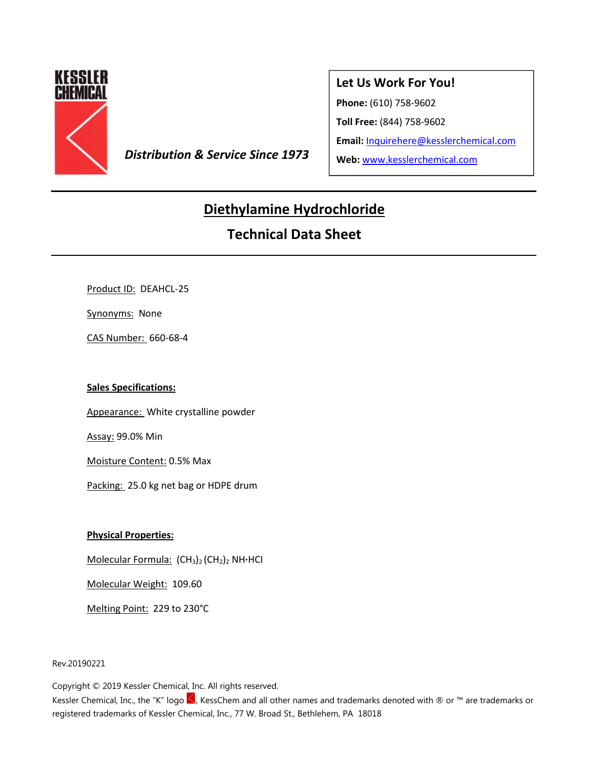

**Distribution & Service Since 1973** Web: www.kesslerchemical.com

### **Let Us Work For You!**

**Phone:** (610) 758-9602

**Toll Free:** (844) 758-9602

**Email:** Inquirehere@kesslerchemical.com

# **Diethylamine Hydrochloride**

## **Technical Data Sheet**

Product ID: DEAHCL-25

Synonyms: None

CAS Number: 660-68-4

### **Sales Specifications:**

Appearance: White crystalline powder

Assay: 99.0% Min

Moisture Content: 0.5% Max

Packing: 25.0 kg net bag or HDPE drum

### **Physical Properties:**

Molecular Formula: (CH3)2 (CH2)2 NH**·**HCI

Molecular Weight: 109.60

Melting Point: 229 to 230°C

Rev.20190221

Copyright © 2019 Kessler Chemical, Inc. All rights reserved.

Kessler Chemical, Inc., the "K" logo S, KessChem and all other names and trademarks denoted with ® or ™ are trademarks or registered trademarks of Kessler Chemical, Inc., 77 W. Broad St., Bethlehem, PA 18018